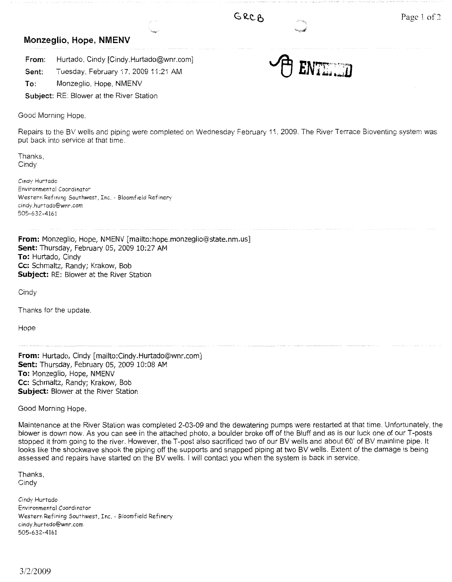## **Monzeglio, Hope, NMENV**

**From:** Hurtado, Cindy [Cindy.Hurtado@wnr.com]

**Sent:** Tuesday, February 17, 2009 11:21 AM

**To:** Monzeglio, Hope, NMENV

**Subject:** RE: Blower at the River Station

Good Morning Hope.

Repairs to the BV wells and piping were completed on Wednesday February 11, 2009. The River Terrace Bioventing system was put back into service at that time.

Thanks, **Cindy** 

Cindy Hurtado Environmental Coordinator Western Refining Southwest, Inc. - Bloomfield Refinery cindy.hurtado@wnr.com 505-632-4161

**From:** Monzeglio, Hope, NMENV [mailto:hope.monzeglio@state.nm.us] **Sent:** Thursday, February 05, 2009 10:27 AM **To:** Hurtado, Cindy **Cc:** Schmaltz, Randy; Krakow, Bob **Subject:** RE: Blower at the River Station

**Cindy** 

Thanks for the update.

Hope

**From:** Hurtado, Cindy [mailto:Cindy.Hurtado@wnr.com] **Sent:** Thursday, February 05, 2009 10:08 AM **To:** Monzeglio, Hope, NMENV **Cc:** Schmaltz, Randy; Krakow, Bob **Subject:** Blower at the River Station

Good Morning Hope,

Maintenance at the River Station was completed 2-03-09 and the dewatering pumps were restarted at that time. Unfortunately, the blower is down now. As you can see in the attached photo, a boulder broke off of the Bluff and as is our luck one of our T-posts stopped it from going to the river. However, the T-post also sacrificed two of our BV wells and about 60' of BV mainline pipe. It looks like the shockwave shook the piping off the supports and snapped piping at two BV wells. Extent of the damage is being assessed and repairs have started on the BV wells. I will contact you when the system is back in service.

Thanks, Cindy

Cindy Hurtado Environmental Coordinator Western Refining Southwest, Inc. - Bloomfield Refinery cindy.hurtado@wnr.com 505-632-4161